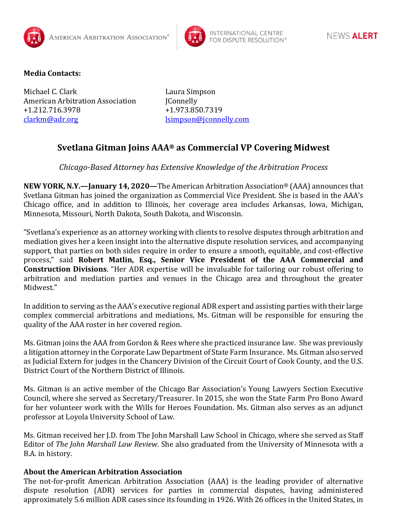



## **Media Contacts:**

Michael C. Clark Laura Simpson American Arbitration Association [Connelly +1.212.716.3978 +1.973.850.7319 [clarkm@adr.org](mailto:clarkm@adr.org) [lsimpson@jconnelly.com](mailto:lsimpson@jconnelly.com)

## **Svetlana Gitman Joins AAA® as Commercial VP Covering Midwest**

*Chicago-Based Attorney has Extensive Knowledge of the Arbitration Process* 

**NEW YORK, N.Y.—January 14, 2020—**The American Arbitration Association® (AAA) announces that Svetlana Gitman has joined the organization as Commercial Vice President. She is based in the AAA's Chicago office, and in addition to Illinois, her coverage area includes Arkansas, Iowa, Michigan, Minnesota, Missouri, North Dakota, South Dakota, and Wisconsin.

"Svetlana's experience as an attorney working with clients to resolve disputes through arbitration and mediation gives her a keen insight into the alternative dispute resolution services, and accompanying support, that parties on both sides require in order to ensure a smooth, equitable, and cost-effective process," said **Robert Matlin, Esq., Senior Vice President of the AAA Commercial and Construction Divisions**. "Her ADR expertise will be invaluable for tailoring our robust offering to arbitration and mediation parties and venues in the Chicago area and throughout the greater Midwest."

In addition to serving as the AAA's executive regional ADR expert and assisting parties with their large complex commercial arbitrations and mediations, Ms. Gitman will be responsible for ensuring the quality of the AAA roster in her covered region.

Ms. Gitman joins the AAA from Gordon & Rees where she practiced insurance law. She was previously a litigation attorney in the Corporate Law Department of State Farm Insurance. Ms. Gitman also served as Judicial Extern for judges in the Chancery Division of the Circuit Court of Cook County, and the U.S. District Court of the Northern District of Illinois.

Ms. Gitman is an active member of the Chicago Bar Association's Young Lawyers Section Executive Council, where she served as Secretary/Treasurer. In 2015, she won the State Farm Pro Bono Award for her volunteer work with the Wills for Heroes Foundation. Ms. Gitman also serves as an adjunct professor at Loyola University School of Law.

Ms. Gitman received her J.D. from The John Marshall Law School in Chicago, where she served as Staff Editor of *The John Marshall Law Review*. She also graduated from the University of Minnesota with a B.A. in history.

## **About the American Arbitration Association**

The not-for-profit American Arbitration Association (AAA) is the leading provider of alternative dispute resolution (ADR) services for parties in commercial disputes, having administered approximately 5.6 million ADR cases since its founding in 1926. With 26 offices in the United States, in